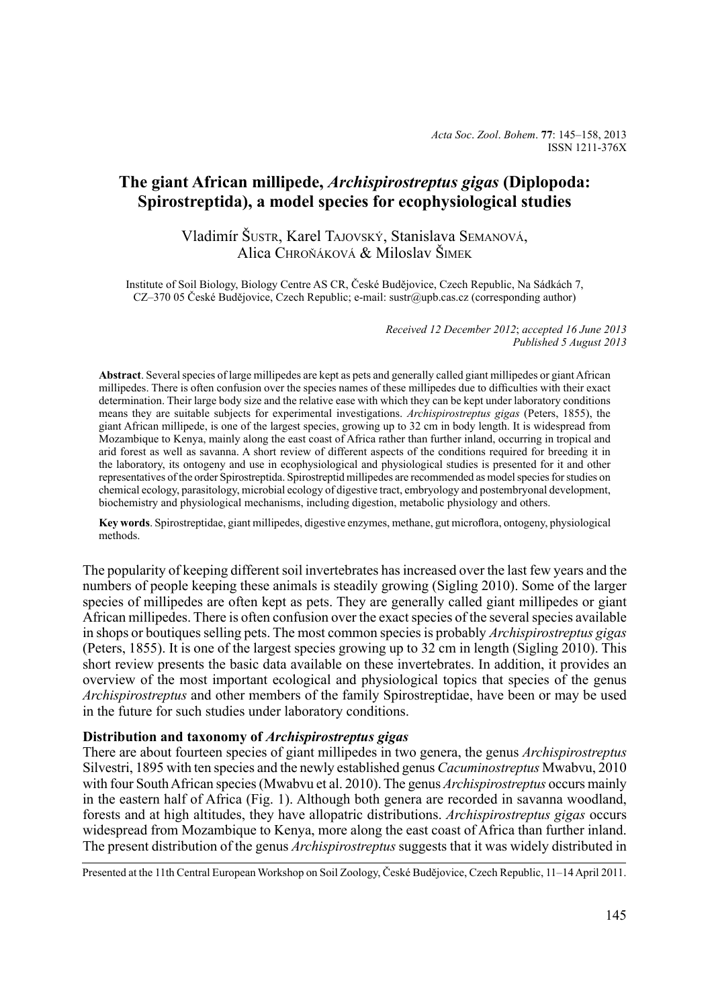# **The giant African millipede,** *Archispirostreptus gigas* **(Diplopoda: Spirostreptida), a model species for ecophysiological studies**

# Vladimír Šustr, Karel Tajovský, Stanislava Semanová, Alica Chroňáková & Miloslav Šimek

Institute of Soil Biology, Biology Centre AS CR, České Budějovice, Czech Republic, Na Sádkách 7, CZ–370 05 České Budějovice, Czech Republic; e-mail: sustr@upb.cas.cz (corresponding author)

> *Received 12 December 2012*; *accepted 16 June 2013 Published 5 August 2013*

**Abstract**. Several species of large millipedes are kept as pets and generally called giant millipedes or giant African millipedes. There is often confusion over the species names of these millipedes due to difficulties with their exact determination. Their large body size and the relative ease with which they can be kept under laboratory conditions means they are suitable subjects for experimental investigations. *Archispirostreptus gigas* (Peters, 1855), the giant African millipede, is one of the largest species, growing up to 32 cm in body length. It is widespread from Mozambique to Kenya, mainly along the east coast of Africa rather than further inland, occurring in tropical and arid forest as well as savanna. A short review of different aspects of the conditions required for breeding it in the laboratory, its ontogeny and use in ecophysiological and physiological studies is presented for it and other representatives of the order Spirostreptida. Spirostreptid millipedes are recommended as model species for studies on chemical ecology, parasitology, microbial ecology of digestive tract, embryology and postembryonal development, biochemistry and physiological mechanisms, including digestion, metabolic physiology and others.

**Key words**. Spirostreptidae, giant millipedes, digestive enzymes, methane, gut microflora, ontogeny, physiological methods.

The popularity of keeping different soil invertebrates has increased over the last few years and the numbers of people keeping these animals is steadily growing (Sigling 2010). Some of the larger species of millipedes are often kept as pets. They are generally called giant millipedes or giant African millipedes. There is often confusion over the exact species of the several species available in shops or boutiques selling pets. The most common species is probably *Archispirostreptus gigas*  (Peters, 1855). It is one of the largest species growing up to 32 cm in length (Sigling 2010). This short review presents the basic data available on these invertebrates. In addition, it provides an overview of the most important ecological and physiological topics that species of the genus *Archispirostreptus* and other members of the family Spirostreptidae, have been or may be used in the future for such studies under laboratory conditions.

# **Distribution and taxonomy of** *Archispirostreptus gigas*

There are about fourteen species of giant millipedes in two genera, the genus *Archispirostreptus* Silvestri, 1895 with ten species and the newly established genus *Cacuminostreptus* Mwabvu, 2010 with four South African species (Mwabvu et al. 2010). The genus *Archispirostreptus* occurs mainly in the eastern half of Africa (Fig. 1). Although both genera are recorded in savanna woodland, forests and at high altitudes, they have allopatric distributions. *Archispirostreptus gigas* occurs widespread from Mozambique to Kenya, more along the east coast of Africa than further inland. The present distribution of the genus *Archispirostreptus* suggests that it was widely distributed in

Presented at the 11th Central European Workshop on Soil Zoology, České Budějovice, Czech Republic, 11–14 April 2011.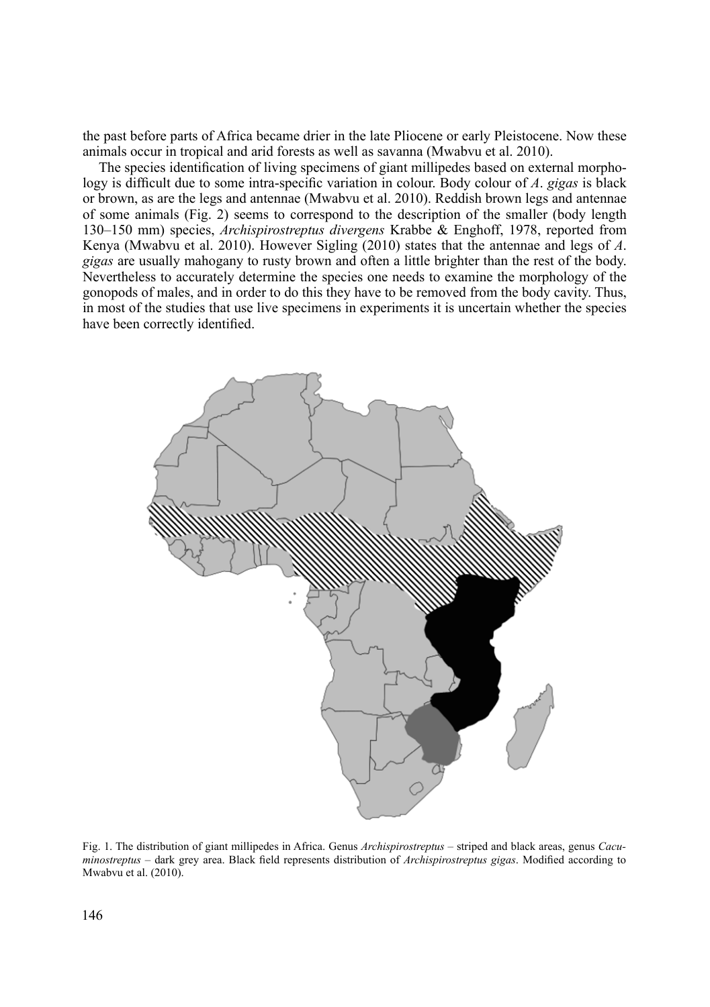the past before parts of Africa became drier in the late Pliocene or early Pleistocene. Now these animals occur in tropical and arid forests as well as savanna (Mwabvu et al. 2010).

The species identification of living specimens of giant millipedes based on external morphology is difficult due to some intra-specific variation in colour. Body colour of *A*. *gigas* is black or brown, as are the legs and antennae (Mwabvu et al. 2010). Reddish brown legs and antennae of some animals (Fig. 2) seems to correspond to the description of the smaller (body length 130–150 mm) species, *Archispirostreptus divergens* Krabbe & Enghoff, 1978, reported from Kenya (Mwabvu et al. 2010). However Sigling (2010) states that the antennae and legs of *A*. *gigas* are usually mahogany to rusty brown and often a little brighter than the rest of the body. Nevertheless to accurately determine the species one needs to examine the morphology of the gonopods of males, and in order to do this they have to be removed from the body cavity. Thus, in most of the studies that use live specimens in experiments it is uncertain whether the species have been correctly identified.



Fig. 1. The distribution of giant millipedes in Africa. Genus *Archispirostreptus* – striped and black areas, genus *Cacuminostreptus –* dark grey area. Black field represents distribution of *Archispirostreptus gigas*. Modified according to Mwabvu et al. (2010).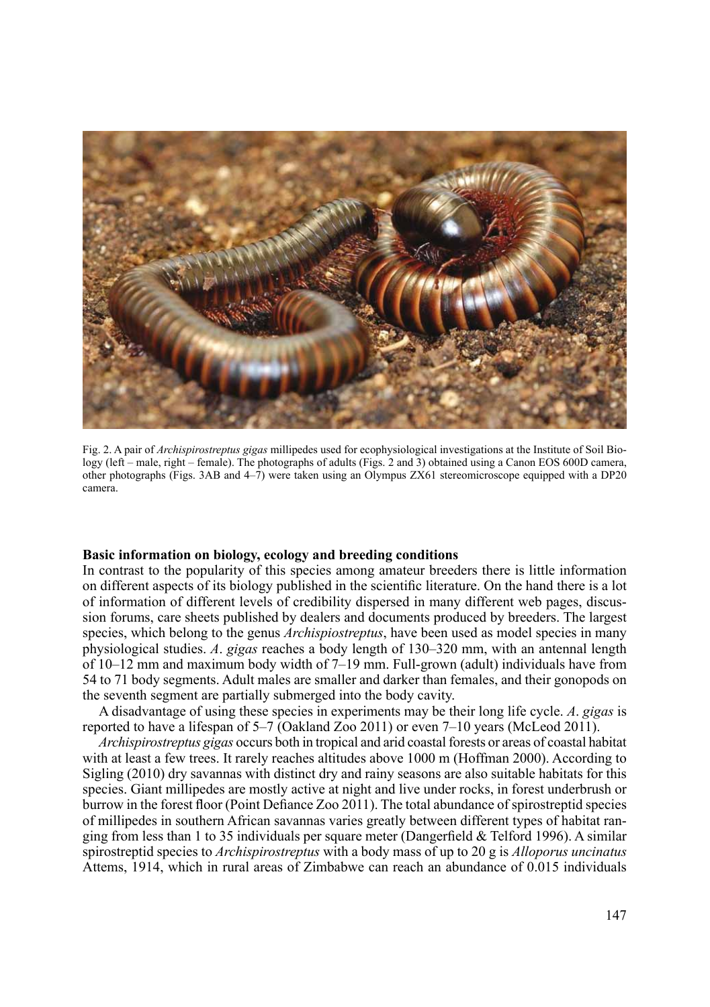

Fig. 2. A pair of *Archispirostreptus gigas* millipedes used for ecophysiological investigations at the Institute of Soil Biology (left – male, right – female). The photographs of adults (Figs. 2 and 3) obtained using a Canon EOS 600D camera, other photographs (Figs. 3AB and 4–7) were taken using an Olympus ZX61 stereomicroscope equipped with a DP20 camera.

### **Basic information on biology, ecology and breeding conditions**

In contrast to the popularity of this species among amateur breeders there is little information on different aspects of its biology published in the scientific literature. On the hand there is a lot of information of different levels of credibility dispersed in many different web pages, discussion forums, care sheets published by dealers and documents produced by breeders. The largest species, which belong to the genus *Archispiostreptus*, have been used as model species in many physiological studies. *A*. *gigas* reaches a body length of 130–320 mm, with an antennal length of 10–12 mm and maximum body width of 7–19 mm. Full-grown (adult) individuals have from 54 to 71 body segments. Adult males are smaller and darker than females, and their gonopods on the seventh segment are partially submerged into the body cavity.

A disadvantage of using these species in experiments may be their long life cycle. *A*. *gigas* is reported to have a lifespan of 5–7 (Oakland Zoo 2011) or even 7–10 years (McLeod 2011).

*Archispirostreptus gigas* occurs both in tropical and arid coastal forests or areas of coastal habitat with at least a few trees. It rarely reaches altitudes above 1000 m (Hoffman 2000). According to Sigling (2010) dry savannas with distinct dry and rainy seasons are also suitable habitats for this species. Giant millipedes are mostly active at night and live under rocks, in forest underbrush or burrow in the forest floor (Point Defiance Zoo 2011). The total abundance of spirostreptid species of millipedes in southern African savannas varies greatly between different types of habitat ranging from less than 1 to 35 individuals per square meter (Dangerfield & Telford 1996). A similar spirostreptid species to *Archispirostreptus* with a body mass of up to 20 g is *Alloporus uncinatus* Attems, 1914, which in rural areas of Zimbabwe can reach an abundance of 0.015 individuals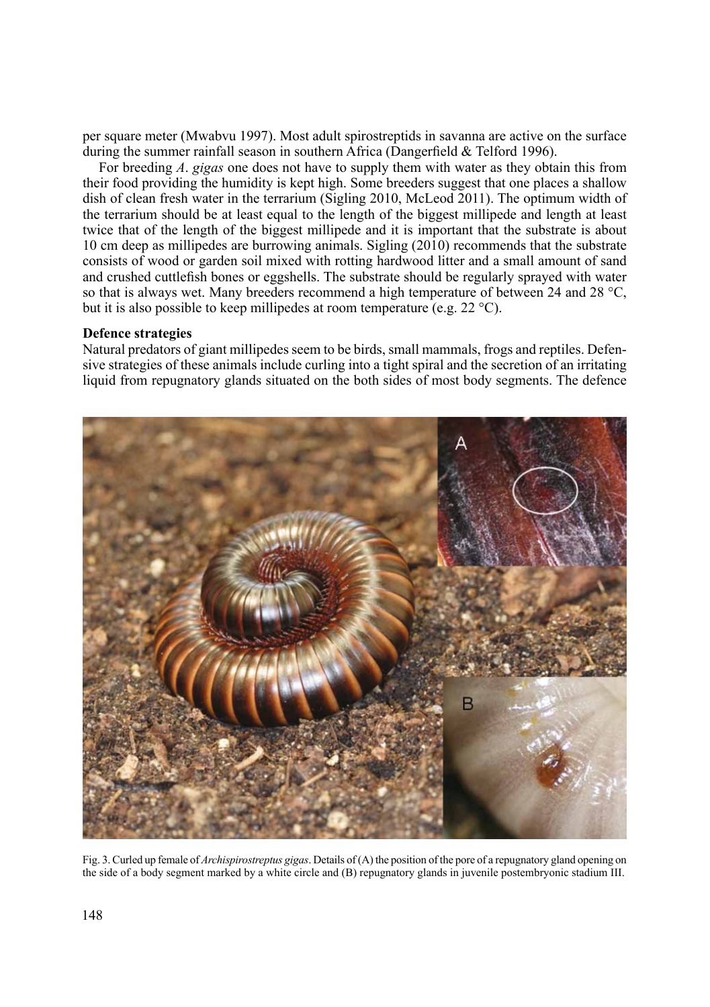per square meter (Mwabvu 1997). Most adult spirostreptids in savanna are active on the surface during the summer rainfall season in southern Africa (Dangerfield & Telford 1996).

For breeding *A*. *gigas* one does not have to supply them with water as they obtain this from their food providing the humidity is kept high. Some breeders suggest that one places a shallow dish of clean fresh water in the terrarium (Sigling 2010, McLeod 2011). The optimum width of the terrarium should be at least equal to the length of the biggest millipede and length at least twice that of the length of the biggest millipede and it is important that the substrate is about 10 cm deep as millipedes are burrowing animals. Sigling (2010) recommends that the substrate consists of wood or garden soil mixed with rotting hardwood litter and a small amount of sand and crushed cuttlefish bones or eggshells. The substrate should be regularly sprayed with water so that is always wet. Many breeders recommend a high temperature of between 24 and 28  $^{\circ}C$ , but it is also possible to keep millipedes at room temperature (e.g. 22 °C).

#### **Defence strategies**

Natural predators of giant millipedes seem to be birds, small mammals, frogs and reptiles. Defensive strategies of these animals include curling into a tight spiral and the secretion of an irritating liquid from repugnatory glands situated on the both sides of most body segments. The defence



Fig. 3. Curled up female of *Archispirostreptus gigas*. Details of (A) the position of the pore of a repugnatory gland opening on the side of a body segment marked by a white circle and (B) repugnatory glands in juvenile postembryonic stadium III.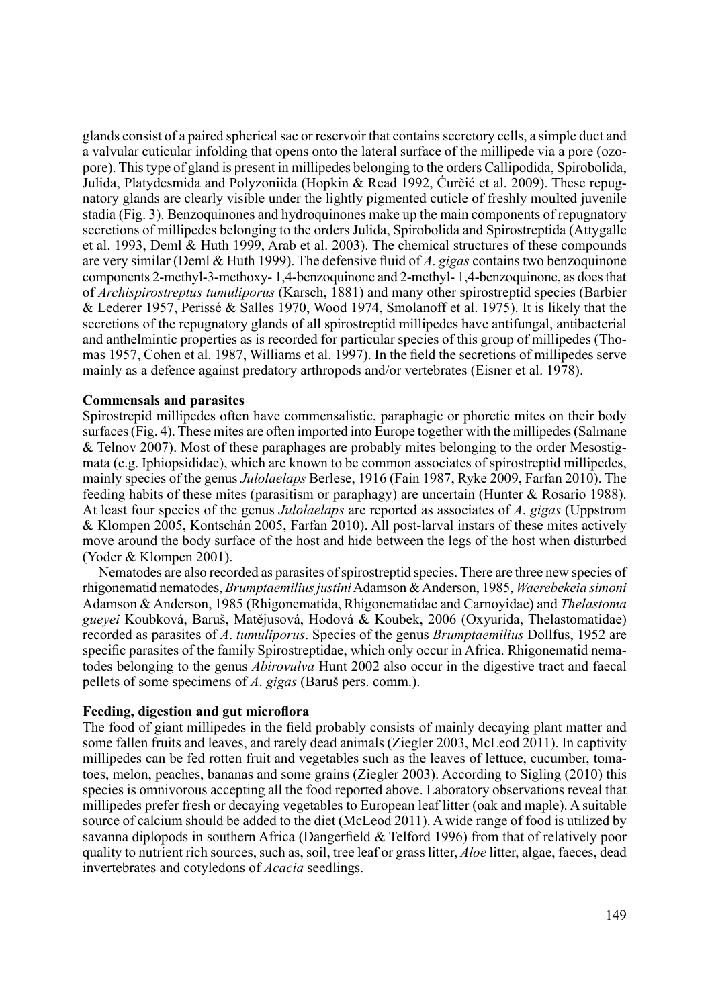glands consist of a paired spherical sac or reservoir that contains secretory cells, a simple duct and a valvular cuticular infolding that opens onto the lateral surface of the millipede via a pore (ozopore). This type of gland is present in millipedes belonging to the orders Callipodida, Spirobolida, Julida, Platydesmida and Polyzoniida (Hopkin & Read 1992, Ćurčić et al. 2009). These repugnatory glands are clearly visible under the lightly pigmented cuticle of freshly moulted juvenile stadia (Fig. 3). Benzoquinones and hydroquinones make up the main components of repugnatory secretions of millipedes belonging to the orders Julida, Spirobolida and Spirostreptida (Attygalle et al. 1993, Deml & Huth 1999, Arab et al. 2003). The chemical structures of these compounds are very similar (Deml & Huth 1999). The defensive fluid of *A*. *gigas* contains two benzoquinone components 2-methyl-3-methoxy- 1,4-benzoquinone and 2-methyl- 1,4-benzoquinone, as does that of *Archispirostreptus tumuliporus* (Karsch, 1881) and many other spirostreptid species (Barbier & Lederer 1957, Perissé & Salles 1970, Wood 1974, Smolanoff et al. 1975). It is likely that the secretions of the repugnatory glands of all spirostreptid millipedes have antifungal, antibacterial and anthelmintic properties as is recorded for particular species of this group of millipedes (Thomas 1957, Cohen et al. 1987, Williams et al. 1997). In the field the secretions of millipedes serve mainly as a defence against predatory arthropods and/or vertebrates (Eisner et al. 1978).

# **Commensals and parasites**

Spirostrepid millipedes often have commensalistic, paraphagic or phoretic mites on their body surfaces (Fig. 4). These mites are often imported into Europe together with the millipedes (Salmane & Telnov 2007). Most of these paraphages are probably mites belonging to the order Mesostigmata (e.g. Iphiopsididae), which are known to be common associates of spirostreptid millipedes, mainly species of the genus *Julolaelaps* Berlese, 1916 (Fain 1987, Ryke 2009, Farfan 2010). The feeding habits of these mites (parasitism or paraphagy) are uncertain (Hunter & Rosario 1988). At least four species of the genus *Julolaelaps* are reported as associates of *A*. *gigas* (Uppstrom & Klompen 2005, Kontschán 2005, Farfan 2010). All post-larval instars of these mites actively move around the body surface of the host and hide between the legs of the host when disturbed (Yoder & Klompen 2001).

Nematodes are also recorded as parasites of spirostreptid species. There are three new species of rhigonematid nematodes, *Brumptaemilius justini* Adamson &Anderson, 1985, *Waerebekeia simoni* Adamson &Anderson, 1985 (Rhigonematida, Rhigonematidae and Carnoyidae) and *Thelastoma gueyei* Koubková, Baruš, Matějusová, Hodová & Koubek, 2006 (Oxyurida, Thelastomatidae) recorded as parasites of *A*. *tumuliporus*. Species of the genus *Brumptaemilius* Dollfus, 1952 are specific parasites of the family Spirostreptidae, which only occur in Africa. Rhigonematid nematodes belonging to the genus *Abirovulva* Hunt 2002 also occur in the digestive tract and faecal pellets of some specimens of *A*. *gigas* (Baruš pers. comm.).

### **Feeding, digestion and gut microflora**

The food of giant millipedes in the field probably consists of mainly decaying plant matter and some fallen fruits and leaves, and rarely dead animals (Ziegler 2003, McLeod 2011). In captivity millipedes can be fed rotten fruit and vegetables such as the leaves of lettuce, cucumber, tomatoes, melon, peaches, bananas and some grains (Ziegler 2003). According to Sigling (2010) this species is omnivorous accepting all the food reported above. Laboratory observations reveal that millipedes prefer fresh or decaying vegetables to European leaf litter (oak and maple). A suitable source of calcium should be added to the diet (McLeod 2011). A wide range of food is utilized by savanna diplopods in southern Africa (Dangerfield & Telford 1996) from that of relatively poor quality to nutrient rich sources, such as, soil, tree leaf or grass litter, *Aloe* litter, algae, faeces, dead invertebrates and cotyledons of *Acacia* seedlings.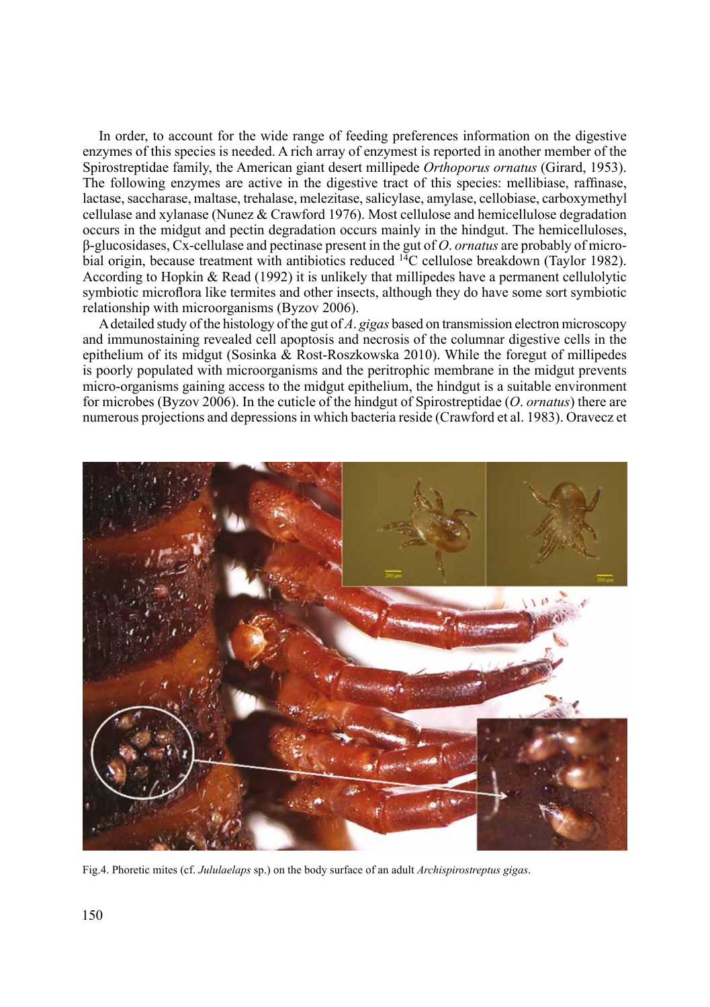In order, to account for the wide range of feeding preferences information on the digestive enzymes of this species is needed. A rich array of enzymest is reported in another member of the Spirostreptidae family, the American giant desert millipede *Orthoporus ornatus* (Girard, 1953). The following enzymes are active in the digestive tract of this species: mellibiase, raffinase, lactase, saccharase, maltase, trehalase, melezitase, salicylase, amylase, cellobiase, carboxymethyl cellulase and xylanase (Nunez & Crawford 1976). Most cellulose and hemicellulose degradation occurs in the midgut and pectin degradation occurs mainly in the hindgut. The hemicelluloses, β-glucosidases, Cx-cellulase and pectinase present in the gut of *O*. *ornatus* are probably of microbial origin, because treatment with antibiotics reduced <sup>14</sup>C cellulose breakdown (Taylor 1982). According to Hopkin & Read (1992) it is unlikely that millipedes have a permanent cellulolytic symbiotic microflora like termites and other insects, although they do have some sort symbiotic relationship with microorganisms (Byzov 2006).

A detailed study of the histology of the gut of *A*. *gigas* based on transmission electron microscopy and immunostaining revealed cell apoptosis and necrosis of the columnar digestive cells in the epithelium of its midgut (Sosinka  $\&$  Rost-Roszkowska 2010). While the foregut of millipedes is poorly populated with microorganisms and the peritrophic membrane in the midgut prevents micro-organisms gaining access to the midgut epithelium, the hindgut is a suitable environment for microbes (Byzov 2006). In the cuticle of the hindgut of Spirostreptidae (*O*. *ornatus*) there are numerous projections and depressions in which bacteria reside (Crawford et al. 1983). Oravecz et



Fig.4. Phoretic mites (cf. *Jululaelaps* sp.) on the body surface of an adult *Archispirostreptus gigas*.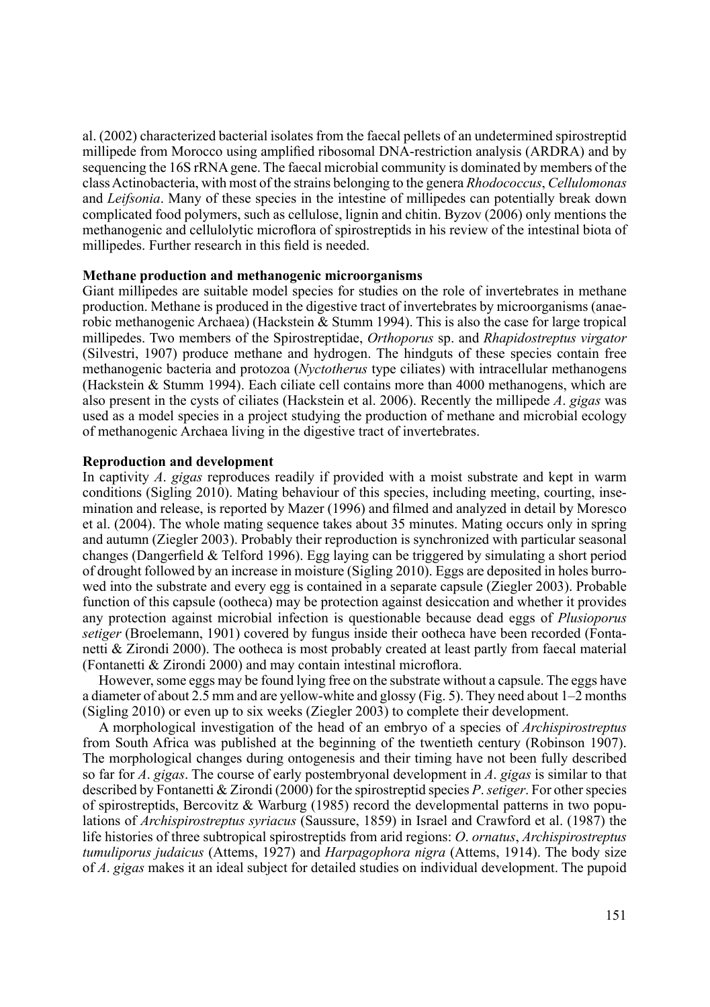al. (2002) characterized bacterial isolates from the faecal pellets of an undetermined spirostreptid millipede from Morocco using amplified ribosomal DNA-restriction analysis (ARDRA) and by sequencing the 16S rRNA gene. The faecal microbial community is dominated by members of the class Actinobacteria, with most of the strains belonging to the genera *Rhodococcus*, *Cellulomonas* and *Leifsonia*. Many of these species in the intestine of millipedes can potentially break down complicated food polymers, such as cellulose, lignin and chitin. Byzov (2006) only mentions the methanogenic and cellulolytic microflora of spirostreptids in his review of the intestinal biota of millipedes. Further research in this field is needed.

# **Methane production and methanogenic microorganisms**

Giant millipedes are suitable model species for studies on the role of invertebrates in methane production. Methane is produced in the digestive tract of invertebrates by microorganisms (anaerobic methanogenic Archaea) (Hackstein & Stumm 1994). This is also the case for large tropical millipedes. Two members of the Spirostreptidae, *Orthoporus* sp. and *Rhapidostreptus virgator*  (Silvestri, 1907) produce methane and hydrogen. The hindguts of these species contain free methanogenic bacteria and protozoa (*Nyctotherus* type ciliates) with intracellular methanogens (Hackstein & Stumm 1994). Each ciliate cell contains more than 4000 methanogens, which are also present in the cysts of ciliates (Hackstein et al. 2006). Recently the millipede *A*. *gigas* was used as a model species in a project studying the production of methane and microbial ecology of methanogenic Archaea living in the digestive tract of invertebrates.

# **Reproduction and development**

In captivity *A*. *gigas* reproduces readily if provided with a moist substrate and kept in warm conditions (Sigling 2010). Mating behaviour of this species, including meeting, courting, insemination and release, is reported by Mazer (1996) and filmed and analyzed in detail by Moresco et al. (2004). The whole mating sequence takes about 35 minutes. Mating occurs only in spring and autumn (Ziegler 2003). Probably their reproduction is synchronized with particular seasonal changes (Dangerfield & Telford 1996). Egg laying can be triggered by simulating a short period of drought followed by an increase in moisture (Sigling 2010). Eggs are deposited in holes burrowed into the substrate and every egg is contained in a separate capsule (Ziegler 2003). Probable function of this capsule (ootheca) may be protection against desiccation and whether it provides any protection against microbial infection is questionable because dead eggs of *Plusioporus setiger* (Broelemann, 1901) covered by fungus inside their ootheca have been recorded (Fontanetti & Zirondi 2000). The ootheca is most probably created at least partly from faecal material (Fontanetti & Zirondi 2000) and may contain intestinal microflora.

However, some eggs may be found lying free on the substrate without a capsule. The eggs have a diameter of about 2.5 mm and are yellow-white and glossy (Fig. 5). They need about 1–2 months (Sigling 2010) or even up to six weeks (Ziegler 2003) to complete their development.

A morphological investigation of the head of an embryo of a species of *Archispirostreptus* from South Africa was published at the beginning of the twentieth century (Robinson 1907). The morphological changes during ontogenesis and their timing have not been fully described so far for *A*. *gigas*. The course of early postembryonal development in *A*. *gigas* is similar to that described by Fontanetti & Zirondi (2000) for the spirostreptid species *P*. *setiger*. For other species of spirostreptids, Bercovitz & Warburg (1985) record the developmental patterns in two populations of *Archispirostreptus syriacus* (Saussure, 1859) in Israel and Crawford et al. (1987) the life histories of three subtropical spirostreptids from arid regions: *O*. *ornatus*, *Archispirostreptus tumuliporus judaicus* (Attems, 1927) and *Harpagophora nigra* (Attems, 1914). The body size of *A*. *gigas* makes it an ideal subject for detailed studies on individual development. The pupoid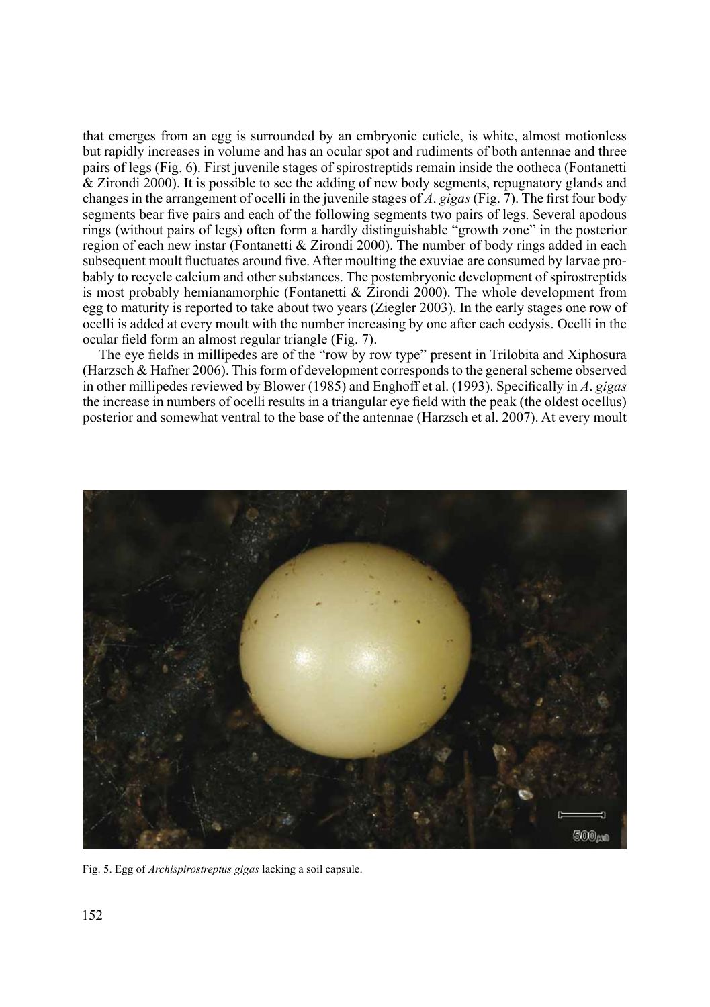that emerges from an egg is surrounded by an embryonic cuticle, is white, almost motionless but rapidly increases in volume and has an ocular spot and rudiments of both antennae and three pairs of legs (Fig. 6). First juvenile stages of spirostreptids remain inside the ootheca (Fontanetti & Zirondi 2000). It is possible to see the adding of new body segments, repugnatory glands and changes in the arrangement of ocelli in the juvenile stages of *A*. *gigas* (Fig. 7). The first four body segments bear five pairs and each of the following segments two pairs of legs. Several apodous rings (without pairs of legs) often form a hardly distinguishable "growth zone" in the posterior region of each new instar (Fontanetti & Zirondi 2000). The number of body rings added in each subsequent moult fluctuates around five. After moulting the exuviae are consumed by larvae probably to recycle calcium and other substances. The postembryonic development of spirostreptids is most probably hemianamorphic (Fontanetti & Zirondi 2000). The whole development from egg to maturity is reported to take about two years (Ziegler 2003). In the early stages one row of ocelli is added at every moult with the number increasing by one after each ecdysis. Ocelli in the ocular field form an almost regular triangle (Fig. 7).

The eye fields in millipedes are of the "row by row type" present in Trilobita and Xiphosura (Harzsch & Hafner 2006). This form of development corresponds to the general scheme observed in other millipedes reviewed by Blower (1985) and Enghoff et al. (1993). Specifically in *A*. *gigas*  the increase in numbers of ocelli results in a triangular eye field with the peak (the oldest ocellus) posterior and somewhat ventral to the base of the antennae (Harzsch et al. 2007). At every moult



Fig. 5. Egg of *Archispirostreptus gigas* lacking a soil capsule.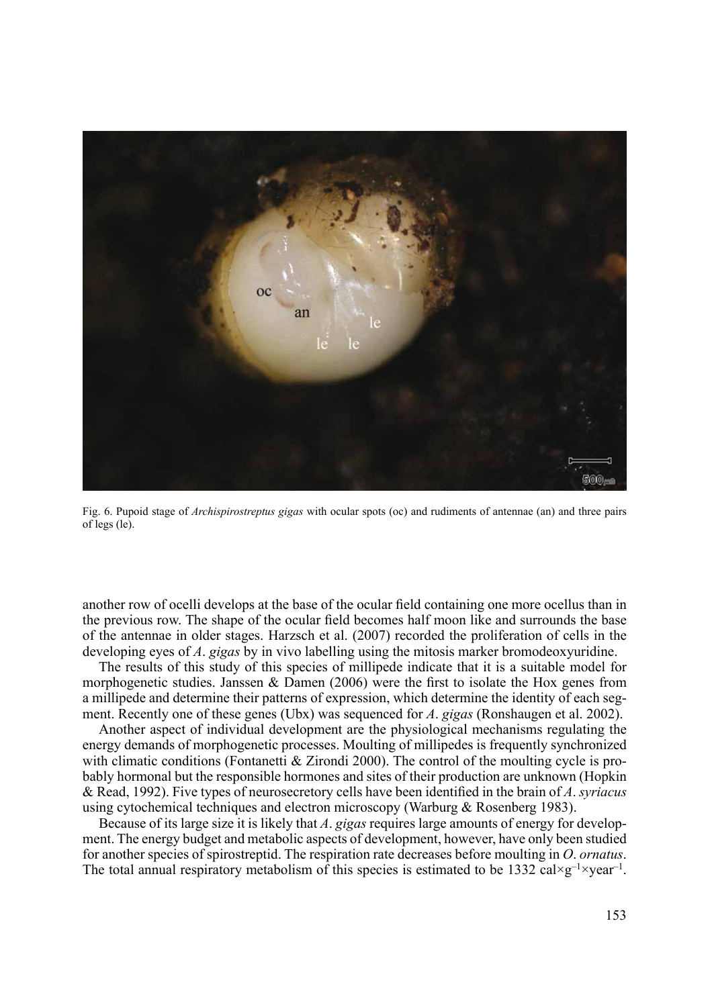

Fig. 6. Pupoid stage of *Archispirostreptus gigas* with ocular spots (oc) and rudiments of antennae (an) and three pairs of legs (le).

another row of ocelli develops at the base of the ocular field containing one more ocellus than in the previous row. The shape of the ocular field becomes half moon like and surrounds the base of the antennae in older stages. Harzsch et al. (2007) recorded the proliferation of cells in the developing eyes of *A*. *gigas* by in vivo labelling using the mitosis marker bromodeoxyuridine.

The results of this study of this species of millipede indicate that it is a suitable model for morphogenetic studies. Janssen & Damen (2006) were the first to isolate the Hox genes from a millipede and determine their patterns of expression, which determine the identity of each segment. Recently one of these genes (Ubx) was sequenced for *A*. *gigas* (Ronshaugen et al. 2002).

Another aspect of individual development are the physiological mechanisms regulating the energy demands of morphogenetic processes. Moulting of millipedes is frequently synchronized with climatic conditions (Fontanetti & Zirondi 2000). The control of the moulting cycle is probably hormonal but the responsible hormones and sites of their production are unknown (Hopkin & Read, 1992). Five types of neurosecretory cells have been identified in the brain of *A*. *syriacus*  using cytochemical techniques and electron microscopy (Warburg & Rosenberg 1983).

Because of its large size it is likely that *A*. *gigas* requires large amounts of energy for development. The energy budget and metabolic aspects of development, however, have only been studied for another species of spirostreptid. The respiration rate decreases before moulting in *O*. *ornatus*. The total annual respiratory metabolism of this species is estimated to be 1332 cal×g<sup>-1</sup>×year<sup>-1</sup>.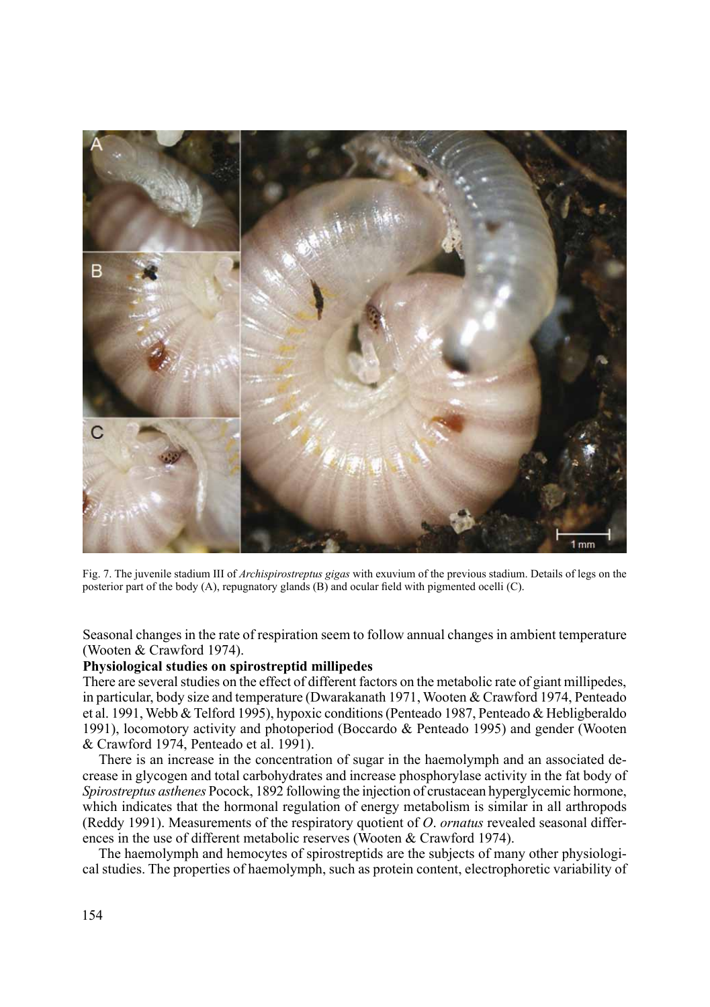

Fig. 7. The juvenile stadium III of *Archispirostreptus gigas* with exuvium of the previous stadium. Details of legs on the posterior part of the body (A), repugnatory glands (B) and ocular field with pigmented ocelli (C).

Seasonal changes in the rate of respiration seem to follow annual changes in ambient temperature (Wooten & Crawford 1974).

# **Physiological studies on spirostreptid millipedes**

There are several studies on the effect of different factors on the metabolic rate of giant millipedes, in particular, body size and temperature (Dwarakanath 1971, Wooten & Crawford 1974, Penteado et al. 1991, Webb & Telford 1995), hypoxic conditions (Penteado 1987, Penteado & Hebligberaldo 1991), locomotory activity and photoperiod (Boccardo & Penteado 1995) and gender (Wooten & Crawford 1974, Penteado et al. 1991).

There is an increase in the concentration of sugar in the haemolymph and an associated decrease in glycogen and total carbohydrates and increase phosphorylase activity in the fat body of *Spirostreptus asthenes* Pocock, 1892 following the injection of crustacean hyperglycemic hormone, which indicates that the hormonal regulation of energy metabolism is similar in all arthropods (Reddy 1991). Measurements of the respiratory quotient of *O*. *ornatus* revealed seasonal differences in the use of different metabolic reserves (Wooten & Crawford 1974).

The haemolymph and hemocytes of spirostreptids are the subjects of many other physiological studies. The properties of haemolymph, such as protein content, electrophoretic variability of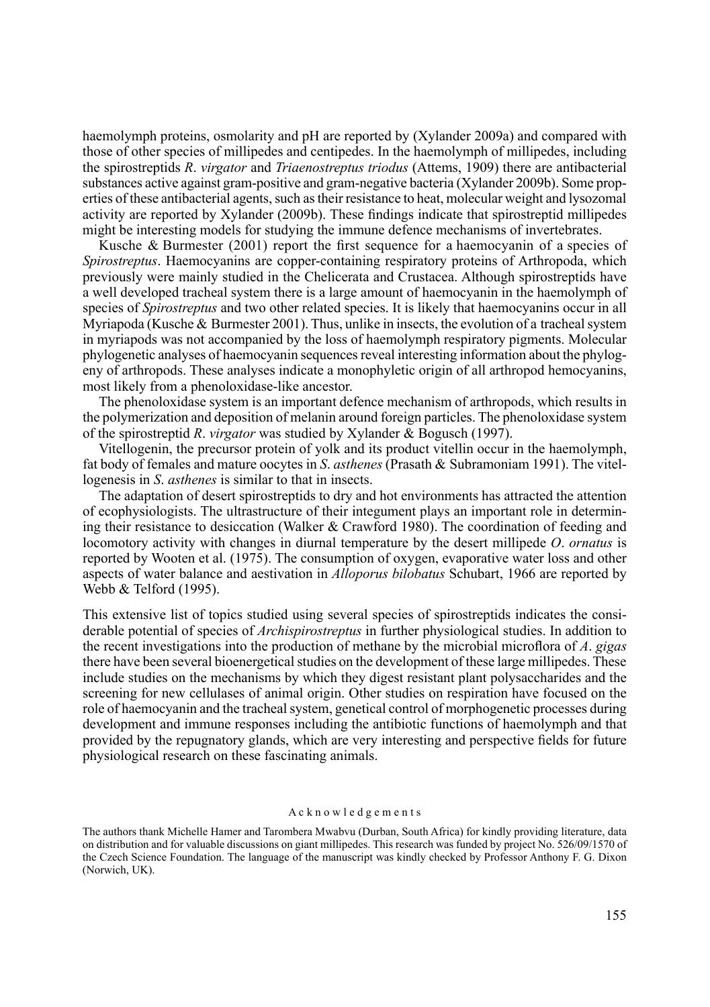haemolymph proteins, osmolarity and pH are reported by (Xylander 2009a) and compared with those of other species of millipedes and centipedes. In the haemolymph of millipedes, including the spirostreptids *R*. *virgator* and *Triaenostreptus triodus* (Attems, 1909) there are antibacterial substances active against gram-positive and gram-negative bacteria (Xylander 2009b). Some properties of these antibacterial agents, such as their resistance to heat, molecular weight and lysozomal activity are reported by Xylander (2009b). These findings indicate that spirostreptid millipedes might be interesting models for studying the immune defence mechanisms of invertebrates.

Kusche & Burmester (2001) report the first sequence for a haemocyanin of a species of *Spirostreptus*. Haemocyanins are copper-containing respiratory proteins of Arthropoda, which previously were mainly studied in the Chelicerata and Crustacea. Although spirostreptids have a well developed tracheal system there is a large amount of haemocyanin in the haemolymph of species of *Spirostreptus* and two other related species. It is likely that haemocyanins occur in all Myriapoda (Kusche  $\&$  Burmester 2001). Thus, unlike in insects, the evolution of a tracheal system in myriapods was not accompanied by the loss of haemolymph respiratory pigments. Molecular phylogenetic analyses of haemocyanin sequences reveal interesting information about the phylogeny of arthropods. These analyses indicate a monophyletic origin of all arthropod hemocyanins, most likely from a phenoloxidase-like ancestor.

The phenoloxidase system is an important defence mechanism of arthropods, which results in the polymerization and deposition of melanin around foreign particles. The phenoloxidase system of the spirostreptid *R*. *virgator* was studied by Xylander & Bogusch (1997).

Vitellogenin, the precursor protein of yolk and its product vitellin occur in the haemolymph, fat body of females and mature oocytes in *S*. *asthenes* (Prasath & Subramoniam 1991). The vitellogenesis in *S*. *asthenes* is similar to that in insects.

The adaptation of desert spirostreptids to dry and hot environments has attracted the attention of ecophysiologists. The ultrastructure of their integument plays an important role in determining their resistance to desiccation (Walker & Crawford 1980). The coordination of feeding and locomotory activity with changes in diurnal temperature by the desert millipede *O*. *ornatus* is reported by Wooten et al. (1975). The consumption of oxygen, evaporative water loss and other aspects of water balance and aestivation in *Alloporus bilobatus* Schubart, 1966 are reported by Webb & Telford (1995).

This extensive list of topics studied using several species of spirostreptids indicates the considerable potential of species of *Archispirostreptus* in further physiological studies. In addition to the recent investigations into the production of methane by the microbial microflora of *A*. *gigas* there have been several bioenergetical studies on the development of these large millipedes. These include studies on the mechanisms by which they digest resistant plant polysaccharides and the screening for new cellulases of animal origin. Other studies on respiration have focused on the role of haemocyanin and the tracheal system, genetical control of morphogenetic processes during development and immune responses including the antibiotic functions of haemolymph and that provided by the repugnatory glands, which are very interesting and perspective fields for future physiological research on these fascinating animals.

#### A c k n o w l e d g e m e n t s

The authors thank Michelle Hamer and Tarombera Mwabvu (Durban, South Africa) for kindly providing literature, data on distribution and for valuable discussions on giant millipedes. This research was funded by project No. 526/09/1570 of the Czech Science Foundation. The language of the manuscript was kindly checked by Professor Anthony F. G. Dixon (Norwich, UK).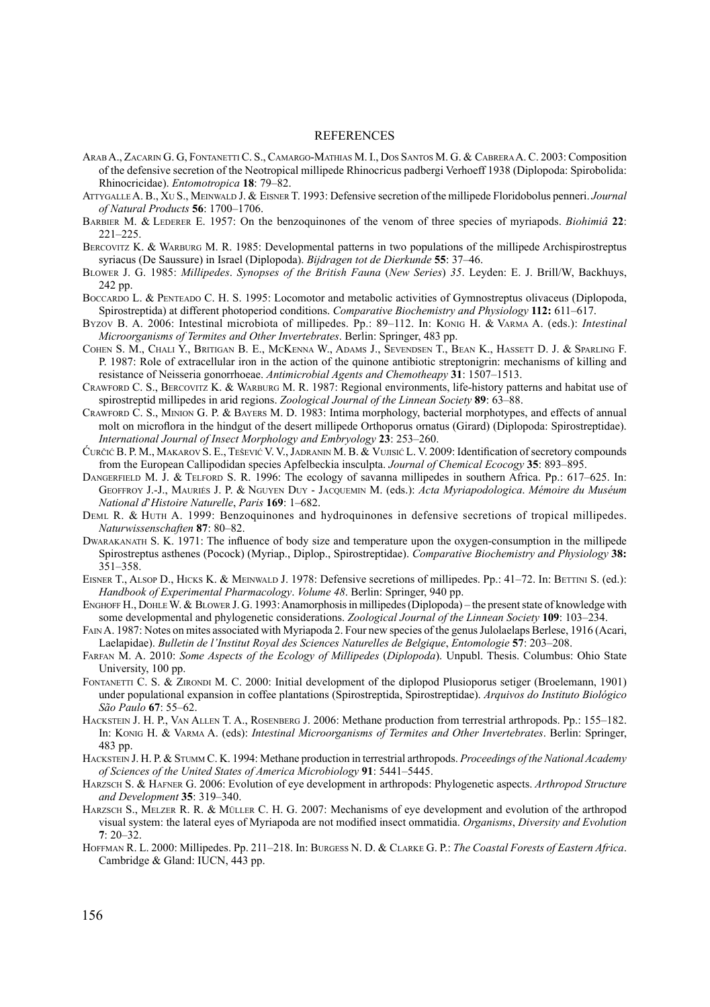#### **REFERENCES**

- ArabA., Zacarin G. G, Fontanetti C. S., Camargo-Mathias M. I., Dos Santos M. G. & CabreraA. C. 2003: Composition of the defensive secretion of the Neotropical millipede Rhinocricus padbergi Verhoeff 1938 (Diplopoda: Spirobolida: Rhinocricidae). *Entomotropica* **18**: 79–82.
- AttygalleA. B., Xu S., Meinwald J. & Eisner T. 1993: Defensive secretion of the millipede Floridobolus penneri. *Journal of Natural Products* **56**: 1700–1706.
- BARBIER M. & LEDERER E. 1957: On the benzoquinones of the venom of three species of myriapods. *Biohimiâ* 22: 221–225.
- BERCOVITZ K. & WARBURG M. R. 1985: Developmental patterns in two populations of the millipede Archispirostreptus syriacus (De Saussure) in Israel (Diplopoda). *Bijdragen tot de Dierkunde* **55**: 37–46.
- Blower J. G. 1985: *Millipedes*. *Synopses of the British Fauna* (*New Series*) *35*. Leyden: E. J. Brill/W, Backhuys, 242 pp.
- BOCCARDO L. & PENTEADO C. H. S. 1995: Locomotor and metabolic activities of Gymnostreptus olivaceus (Diplopoda, Spirostreptida) at different photoperiod conditions. *Comparative Biochemistry and Physiology* **112:** 611–617.
- Byzov B. A. 2006: Intestinal microbiota of millipedes. Pp.: 89–112. In: Konig H. & Varma A. (eds.): *Intestinal Microorganisms of Termites and Other Invertebrates*. Berlin: Springer, 483 pp.
- Cohen S. M., Chali Y., Britigan B. E., McKenna W., Adams J., Sevendsen T., Bean K., Hassett D. J. & Sparling F. P. 1987: Role of extracellular iron in the action of the quinone antibiotic streptonigrin: mechanisms of killing and resistance of Neisseria gonorrhoeae. *Antimicrobial Agents and Chemotheapy* **31**: 1507–1513.
- Crawford C. S., Bercovitz K. & Warburg M. R. 1987: Regional environments, life-history patterns and habitat use of spirostreptid millipedes in arid regions. *Zoological Journal of the Linnean Society* **89**: 63–88.
- Crawford C. S., Minion G. P. & Bayers M. D. 1983: Intima morphology, bacterial morphotypes, and effects of annual molt on microflora in the hindgut of the desert millipede Orthoporus ornatus (Girard) (Diplopoda: Spirostreptidae). *International Journal of Insect Morphology and Embryology* **23**: 253–260.
- Ćurčić B. P. M., Makarov S. E., Tešević V. V., Jadranin M. B. & Vujisić L. V. 2009: Identification of secretory compounds from the European Callipodidan species Apfelbeckia insculpta. *Journal of Chemical Ecocogy* **35**: 893–895.
- DANGERFIELD M. J. & TELFORD S. R. 1996: The ecology of savanna millipedes in southern Africa. Pp.: 617–625. In: Geoffroy J.-J., Mauriės J. P. & Nguyen Duy - Jacquemin M. (eds.): *Acta Myriapodologica*. *Mémoire du Muséum National d*'*Histoire Naturelle*, *Paris* **169**: 1–682.
- Deml R. & Huth A. 1999: Benzoquinones and hydroquinones in defensive secretions of tropical millipedes. *Naturwissenschaften* **87**: 80–82.
- Dwarakanath S. K. 1971: The influence of body size and temperature upon the oxygen-consumption in the millipede Spirostreptus asthenes (Pocock) (Myriap., Diplop., Spirostreptidae). *Comparative Biochemistry and Physiology* **38:** 351–358.
- EISNER T., ALSOP D., HICKS K. & MEINWALD J. 1978: Defensive secretions of millipedes. Pp.: 41–72. In: BETTINI S. (ed.): *Handbook of Experimental Pharmacology*. *Volume 48*. Berlin: Springer, 940 pp.
- ENGHOFF H., DOHLE W. & BLOWER J. G. 1993: Anamorphosis in millipedes (Diplopoda) the present state of knowledge with some developmental and phylogenetic considerations. *Zoological Journal of the Linnean Society* **109**: 103–234.
- Fain A. 1987: Notes on mites associated with Myriapoda 2. Four new species of the genus Julolaelaps Berlese, 1916 (Acari, Laelapidae). *Bulletin de l'Institut Royal des Sciences Naturelles de Belgique*, *Entomologie* **57**: 203–208.
- Farfan M. A. 2010: *Some Aspects of the Ecology of Millipedes* (*Diplopoda*). Unpubl. Thesis. Columbus: Ohio State University, 100 pp.
- FONTANETTI C. S. & ZIRONDI M. C. 2000: Initial development of the diplopod Plusioporus setiger (Broelemann, 1901) under populational expansion in coffee plantations (Spirostreptida, Spirostreptidae). *Arquivos do Instituto Biológico São Paulo* **67**: 55–62.
- Hackstein J. H. P., Van Allen T. A., Rosenberg J. 2006: Methane production from terrestrial arthropods. Pp.: 155–182. In: Konig H. & Varma A. (eds): *Intestinal Microorganisms of Termites and Other Invertebrates*. Berlin: Springer, 483 pp.
- Hackstein J. H. P. & Stumm C. K. 1994: Methane production in terrestrial arthropods. *Proceedings of the National Academy of Sciences of the United States of America Microbiology* **91**: 5441–5445.
- Harzsch S. & Hafner G. 2006: Evolution of eye development in arthropods: Phylogenetic aspects. *Arthropod Structure and Development* **35**: 319–340.
- HARZSCH S., MELZER R. R. & MÜLLER C. H. G. 2007: Mechanisms of eye development and evolution of the arthropod visual system: the lateral eyes of Myriapoda are not modified insect ommatidia. *Organisms*, *Diversity and Evolution* **7**: 20–32.
- Hoffman R. L. 2000: Millipedes. Pp. 211–218. In: Burgess N. D. & Clarke G. P.: *The Coastal Forests of Eastern Africa*. Cambridge & Gland: IUCN, 443 pp.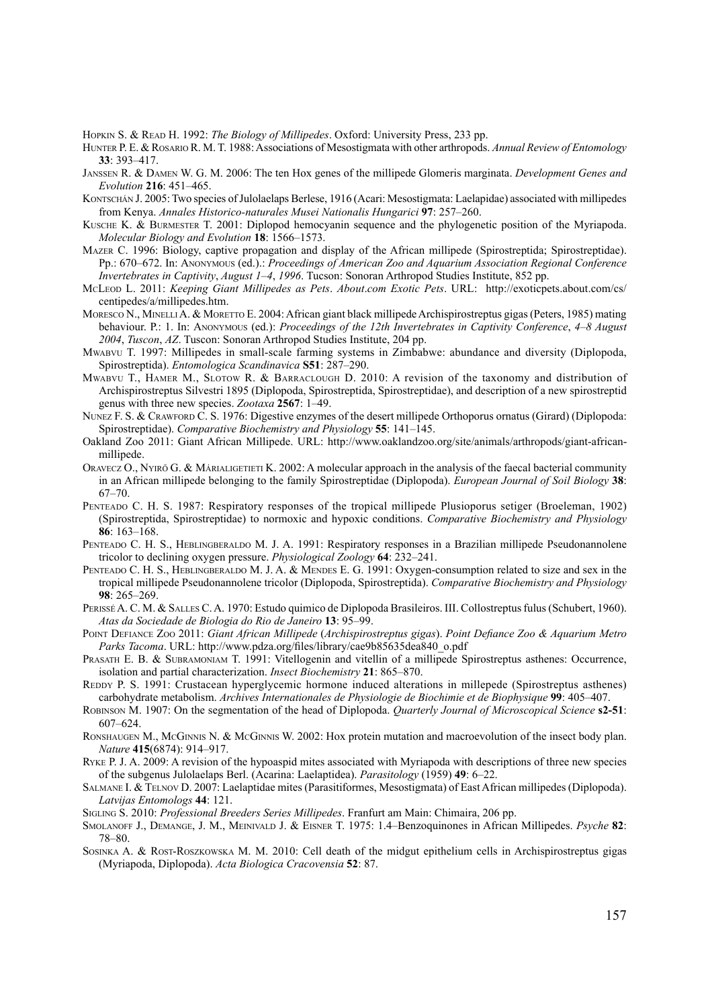Hopkin S. & Read H. 1992: *The Biology of Millipedes*. Oxford: University Press, 233 pp.

- Hunter P. E. & Rosario R. M. T. 1988: Associations of Mesostigmata with other arthropods. *Annual Review of Entomology* **33**: 393–417.
- Janssen R. & Damen W. G. M. 2006: The ten Hox genes of the millipede Glomeris marginata. *Development Genes and Evolution* **216**: 451–465.
- KONTSCHÁN J. 2005: Two species of Julolaelaps Berlese, 1916 (Acari: Mesostigmata: Laelapidae) associated with millipedes from Kenya. *Annales Historico-naturales Musei Nationalis Hungarici* **97**: 257–260.
- Kusche K. & Burmester T. 2001: Diplopod hemocyanin sequence and the phylogenetic position of the Myriapoda. *Molecular Biology and Evolution* **18**: 1566–1573.
- Mazer C. 1996: Biology, captive propagation and display of the African millipede (Spirostreptida; Spirostreptidae). Pp.: 670–672. In: Anonymous (ed.).: *Proceedings of American Zoo and Aquarium Association Regional Conference Invertebrates in Captivity*, *August 1–4*, *1996*. Tucson: Sonoran Arthropod Studies Institute, 852 pp.
- McLeod L. 2011: *Keeping Giant Millipedes as Pets*. *About*.*com Exotic Pets*. URL: http://exoticpets.about.com/cs/ centipedes/a/millipedes.htm.
- MORESCO N., MINELLIA. & MORETTO E. 2004: African giant black millipede Archispirostreptus gigas (Peters, 1985) mating behaviour. P.: 1. In: Anonymous (ed.): *Proceedings of the 12th Invertebrates in Captivity Conference*, *4–8 August 2004*, *Tuscon*, *AZ*. Tuscon: Sonoran Arthropod Studies Institute, 204 pp.
- Mwabvu T. 1997: Millipedes in small-scale farming systems in Zimbabwe: abundance and diversity (Diplopoda, Spirostreptida). *Entomologica Scandinavica* **S51**: 287–290.
- Mwabvu T., Hamer M., Slotow R. & Barraclough D. 2010: A revision of the taxonomy and distribution of Archispirostreptus Silvestri 1895 (Diplopoda, Spirostreptida, Spirostreptidae), and description of a new spirostreptid genus with three new species. *Zootaxa* **2567**: 1–49.
- NUNEZ F. S. & CRAWFORD C. S. 1976: Digestive enzymes of the desert millipede Orthoporus ornatus (Girard) (Diplopoda: Spirostreptidae). *Comparative Biochemistry and Physiology* **55**: 141–145.
- Oakland Zoo 2011: Giant African Millipede. URL: http://www.oaklandzoo.org/site/animals/arthropods/giant-africanmillipede.
- Oravecz O., Nyirő G. & Márialigetieti K. 2002: A molecular approach in the analysis of the faecal bacterial community in an African millipede belonging to the family Spirostreptidae (Diplopoda). *European Journal of Soil Biology* **38**: 67–70.
- Penteado C. H. S. 1987: Respiratory responses of the tropical millipede Plusioporus setiger (Broeleman, 1902) (Spirostreptida, Spirostreptidae) to normoxic and hypoxic conditions. *Comparative Biochemistry and Physiology* **86**: 163–168.
- PENTEADO C. H. S., HEBLINGBERALDO M. J. A. 1991: Respiratory responses in a Brazilian millipede Pseudonannolene tricolor to declining oxygen pressure. *Physiological Zoology* **64**: 232–241.
- PENTEADO C. H. S., HEBLINGBERALDO M. J. A. & MENDES E. G. 1991: Oxygen-consumption related to size and sex in the tropical millipede Pseudonannolene tricolor (Diplopoda, Spirostreptida). *Comparative Biochemistry and Physiology* **98**: 265–269.
- PerisséA. C. M. & Salles C. A. 1970: Estudo quimico de Diplopoda Brasileiros. III. Collostreptus fulus (Schubert, 1960). *Atas da Sociedade de Biologia do Rio de Janeiro* **13**: 95–99.
- Point Defiance Zoo 2011: *Giant African Millipede* (*Archispirostreptus gigas*). *Point Defiance Zoo & Aquarium Metro Parks Tacoma*. URL: http://www.pdza.org/files/library/cae9b85635dea840\_o.pdf
- PRASATH E. B. & SUBRAMONIAM T. 1991: Vitellogenin and vitellin of a millipede Spirostreptus asthenes: Occurrence, isolation and partial characterization. *Insect Biochemistry* **21**: 865–870.
- REDDY P. S. 1991: Crustacean hyperglycemic hormone induced alterations in millepede (Spirostreptus asthenes) carbohydrate metabolism. *Archives Internationales de Physiologie de Biochimie et de Biophysique* **99**: 405–407.
- Robinson M. 1907: On the segmentation of the head of Diplopoda. *Quarterly Journal of Microscopical Science* **s2-51**: 607–624.
- RONSHAUGEN M., McGINNIS N. & McGINNIS W. 2002: Hox protein mutation and macroevolution of the insect body plan. *Nature* **415**(6874): 914–917.
- Ryke P. J. A. 2009: A revision of the hypoaspid mites associated with Myriapoda with descriptions of three new species of the subgenus Julolaelaps Berl. (Acarina: Laelaptidea). *Parasitology* (1959) **49**: 6–22.
- SALMANE I. & TELNOV D. 2007: Laelaptidae mites (Parasitiformes, Mesostigmata) of East African millipedes (Diplopoda). *Latvijas Entomologs* **44**: 121.
- Sigling S. 2010: *Professional Breeders Series Millipedes*. Franfurt am Main: Chimaira, 206 pp.
- Smolanoff J., Demange, J. M., Meinivald J. & Eisner T. 1975: 1.4–Benzoquinones in African Millipedes. *Psyche* **82**: 78–80.
- Sosinka A. & Rost-Roszkowska M. M. 2010: Cell death of the midgut epithelium cells in Archispirostreptus gigas (Myriapoda, Diplopoda). *Acta Biologica Cracovensia* **52**: 87.